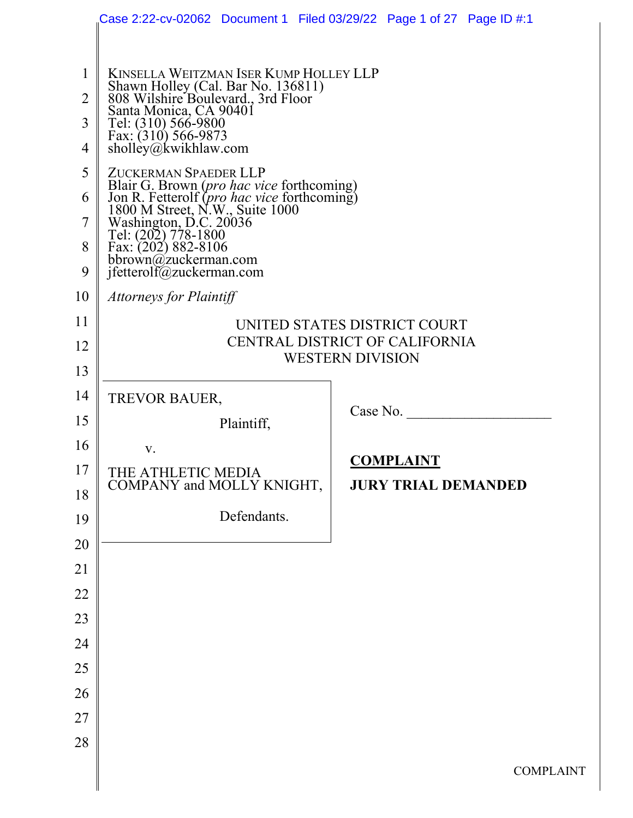|                | Case 2:22-cv-02062 Document 1 Filed 03/29/22 Page 1 of 27 Page ID #:1                                                       |                            |  |  |  |  |  |  |
|----------------|-----------------------------------------------------------------------------------------------------------------------------|----------------------------|--|--|--|--|--|--|
|                |                                                                                                                             |                            |  |  |  |  |  |  |
| $\mathbf{1}$   | KINSELLA WEITZMAN ISER KUMP HOLLEY LLP                                                                                      |                            |  |  |  |  |  |  |
| $\overline{2}$ | Shawn Holley (Cal. Bar No. 136811)<br>808 Wilshire Boulevard., 3rd Floor                                                    |                            |  |  |  |  |  |  |
| 3              | Santa Monica, CA 90401<br>Tel: (310) 566-9800                                                                               |                            |  |  |  |  |  |  |
| $\overline{4}$ | Fax: $(310)$ 566-9873<br>sholley@kwikhlaw.com                                                                               |                            |  |  |  |  |  |  |
| 5              | ZUCKERMAN SPAEDER LLP                                                                                                       |                            |  |  |  |  |  |  |
| 6              | Blair G. Brown (pro hac vice forthcoming)<br>Jon R. Fetterolf (pro hac vice forthcoming)<br>1800 M Street, N.W., Suite 1000 |                            |  |  |  |  |  |  |
| 7              | Washington, D.C. 20036<br>Tel: (202) 778-1800                                                                               |                            |  |  |  |  |  |  |
| 8              | Fax: (202) 882-8106<br>bbrown@zuckerman.com                                                                                 |                            |  |  |  |  |  |  |
| 9              | jfetterolf@zuckerman.com                                                                                                    |                            |  |  |  |  |  |  |
| 10             | <b>Attorneys for Plaintiff</b>                                                                                              |                            |  |  |  |  |  |  |
| 11             | UNITED STATES DISTRICT COURT                                                                                                |                            |  |  |  |  |  |  |
| 12             | CENTRAL DISTRICT OF CALIFORNIA<br><b>WESTERN DIVISION</b>                                                                   |                            |  |  |  |  |  |  |
| 13             |                                                                                                                             |                            |  |  |  |  |  |  |
| 14             | TREVOR BAUER,                                                                                                               | Case No.                   |  |  |  |  |  |  |
| 15             | Plaintiff,                                                                                                                  |                            |  |  |  |  |  |  |
| 16<br>17       | V.                                                                                                                          | <b>COMPLAINT</b>           |  |  |  |  |  |  |
| 18             | THE ATHLETIC MEDIA<br>COMPANY and MOLLY KNIGHT,                                                                             | <b>JURY TRIAL DEMANDED</b> |  |  |  |  |  |  |
| 19             | Defendants.                                                                                                                 |                            |  |  |  |  |  |  |
| 20             |                                                                                                                             |                            |  |  |  |  |  |  |
| 21             |                                                                                                                             |                            |  |  |  |  |  |  |
| 22             |                                                                                                                             |                            |  |  |  |  |  |  |
| 23             |                                                                                                                             |                            |  |  |  |  |  |  |
| 24             |                                                                                                                             |                            |  |  |  |  |  |  |
| 25             |                                                                                                                             |                            |  |  |  |  |  |  |
| 26             |                                                                                                                             |                            |  |  |  |  |  |  |
| 27             |                                                                                                                             |                            |  |  |  |  |  |  |
| 28             |                                                                                                                             |                            |  |  |  |  |  |  |
|                |                                                                                                                             | <b>COMPLA</b>              |  |  |  |  |  |  |
|                |                                                                                                                             |                            |  |  |  |  |  |  |

INT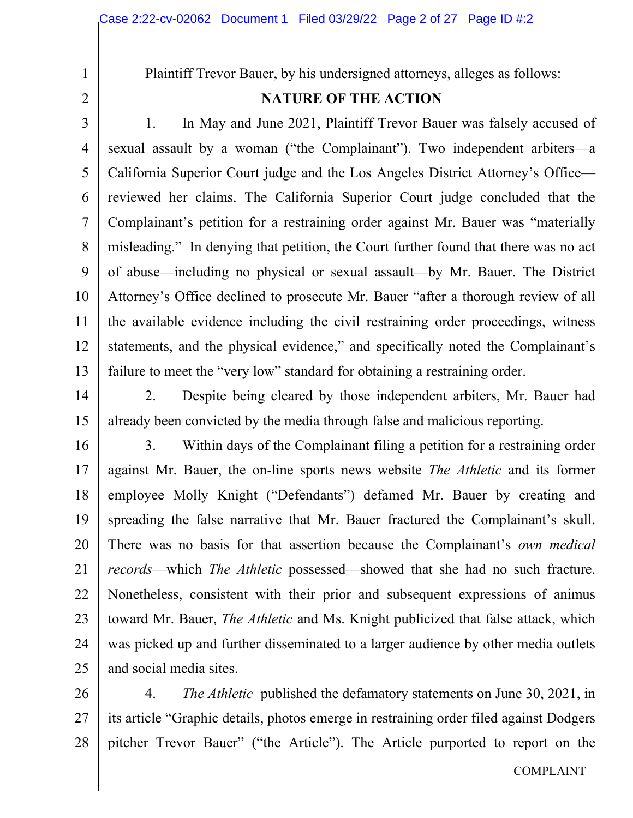2

1

Plaintiff Trevor Bauer, by his undersigned attorneys, alleges as follows:

## **NATURE OF THE ACTION**

3 4 5 6 7 8 9 10 11 12 13 1. In May and June 2021, Plaintiff Trevor Bauer was falsely accused of sexual assault by a woman ("the Complainant"). Two independent arbiters—a California Superior Court judge and the Los Angeles District Attorney's Office reviewed her claims. The California Superior Court judge concluded that the Complainant's petition for a restraining order against Mr. Bauer was "materially misleading." In denying that petition, the Court further found that there was no act of abuse—including no physical or sexual assault—by Mr. Bauer. The District Attorney's Office declined to prosecute Mr. Bauer "after a thorough review of all the available evidence including the civil restraining order proceedings, witness statements, and the physical evidence," and specifically noted the Complainant's failure to meet the "very low" standard for obtaining a restraining order.

14 15 2. Despite being cleared by those independent arbiters, Mr. Bauer had already been convicted by the media through false and malicious reporting.

16 17 18 19 20 21 22 23 24 25 3. Within days of the Complainant filing a petition for a restraining order against Mr. Bauer, the on-line sports news website *The Athletic* and its former employee Molly Knight ("Defendants") defamed Mr. Bauer by creating and spreading the false narrative that Mr. Bauer fractured the Complainant's skull. There was no basis for that assertion because the Complainant's *own medical records*—which *The Athletic* possessed—showed that she had no such fracture. Nonetheless, consistent with their prior and subsequent expressions of animus toward Mr. Bauer, *The Athletic* and Ms. Knight publicized that false attack, which was picked up and further disseminated to a larger audience by other media outlets and social media sites.

26 27 28 4. *The Athletic* published the defamatory statements on June 30, 2021, in its article "Graphic details, photos emerge in restraining order filed against Dodgers pitcher Trevor Bauer" ("the Article"). The Article purported to report on the

COMPLAINT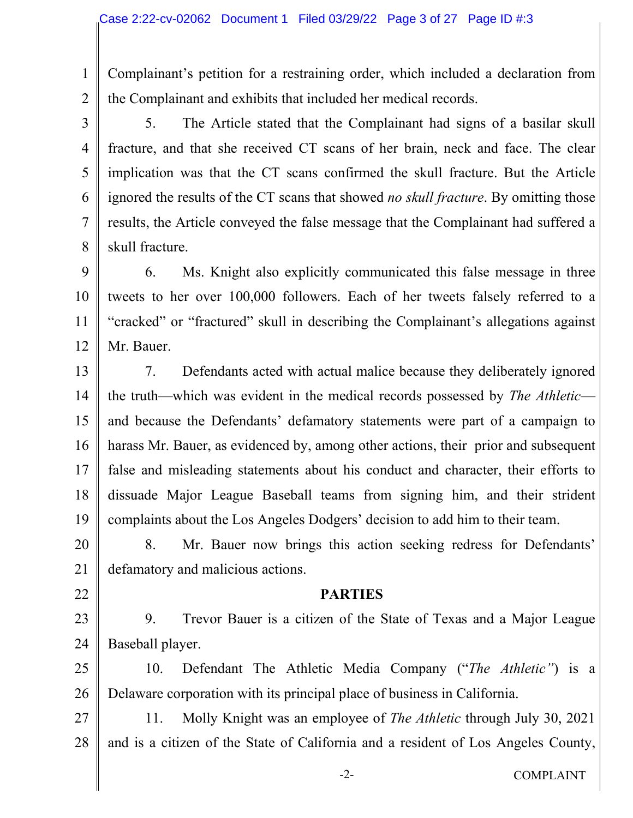1

2

3

4

5

6

7

8

22

Complainant's petition for a restraining order, which included a declaration from the Complainant and exhibits that included her medical records.

5. The Article stated that the Complainant had signs of a basilar skull fracture, and that she received CT scans of her brain, neck and face. The clear implication was that the CT scans confirmed the skull fracture. But the Article ignored the results of the CT scans that showed *no skull fracture*. By omitting those results, the Article conveyed the false message that the Complainant had suffered a skull fracture.

9 10 11 12 6. Ms. Knight also explicitly communicated this false message in three tweets to her over 100,000 followers. Each of her tweets falsely referred to a "cracked" or "fractured" skull in describing the Complainant's allegations against Mr. Bauer.

13 14 15 16 17 18 19 7. Defendants acted with actual malice because they deliberately ignored the truth—which was evident in the medical records possessed by *The Athletic* and because the Defendants' defamatory statements were part of a campaign to harass Mr. Bauer, as evidenced by, among other actions, their prior and subsequent false and misleading statements about his conduct and character, their efforts to dissuade Major League Baseball teams from signing him, and their strident complaints about the Los Angeles Dodgers' decision to add him to their team.

20 21 8. Mr. Bauer now brings this action seeking redress for Defendants' defamatory and malicious actions.

#### **PARTIES**

23 24 9. Trevor Bauer is a citizen of the State of Texas and a Major League Baseball player.

25 26 10. Defendant The Athletic Media Company ("*The Athletic"*) is a Delaware corporation with its principal place of business in California.

27 28 11. Molly Knight was an employee of *The Athletic* through July 30, 2021 and is a citizen of the State of California and a resident of Los Angeles County,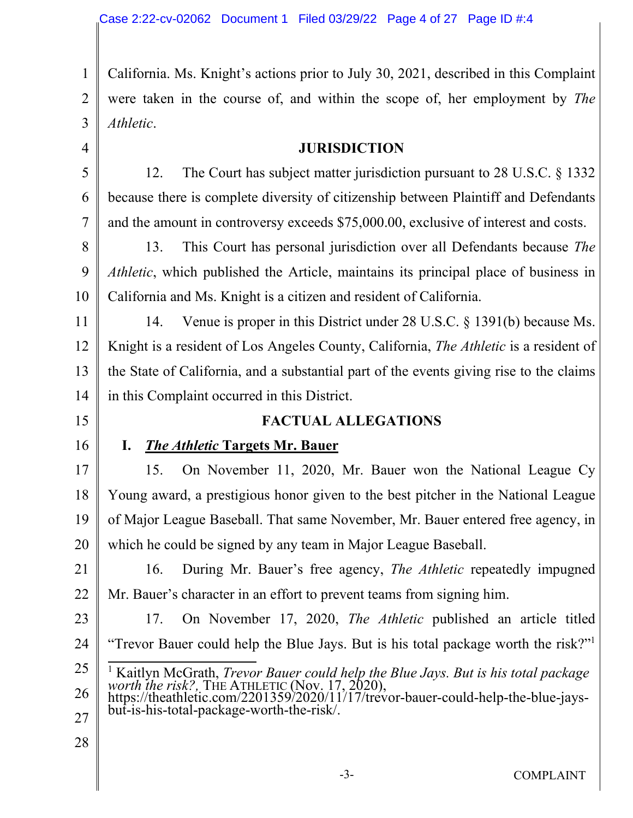3 California. Ms. Knight's actions prior to July 30, 2021, described in this Complaint were taken in the course of, and within the scope of, her employment by *The Athletic*.

#### **JURISDICTION**

12. The Court has subject matter jurisdiction pursuant to 28 U.S.C. § 1332 because there is complete diversity of citizenship between Plaintiff and Defendants and the amount in controversy exceeds \$75,000.00, exclusive of interest and costs.

8 9 10 13. This Court has personal jurisdiction over all Defendants because *The Athletic*, which published the Article, maintains its principal place of business in California and Ms. Knight is a citizen and resident of California.

11 12 13 14 14. Venue is proper in this District under 28 U.S.C. § 1391(b) because Ms. Knight is a resident of Los Angeles County, California, *The Athletic* is a resident of the State of California, and a substantial part of the events giving rise to the claims in this Complaint occurred in this District.

### **FACTUAL ALLEGATIONS**

16

15

1

2

4

5

6

7

### **I.** *The Athletic* **Targets Mr. Bauer**

17 18 19 20 15. On November 11, 2020, Mr. Bauer won the National League Cy Young award, a prestigious honor given to the best pitcher in the National League of Major League Baseball. That same November, Mr. Bauer entered free agency, in which he could be signed by any team in Major League Baseball.

21 22 16. During Mr. Bauer's free agency, *The Athletic* repeatedly impugned Mr. Bauer's character in an effort to prevent teams from signing him.

23 24 17. On November 17, 2020, *The Athletic* published an article titled "Trevor Bauer could help the Blue Jays. But is his total package worth the risk?"<sup>1</sup>

- 25 26 <sup>1</sup> Kaitlyn McGrath, *Trevor Bauer could help the Blue Jays. But is his total package worth the risk?, THE ATHLETIC (Nov. 17, 2020),* https://theathletic.com/2201359/2020/11/17/trevor-bauer-could-help-the-blue-jays-
- 27 but-is-his-total-package-worth-the-risk/.
- 28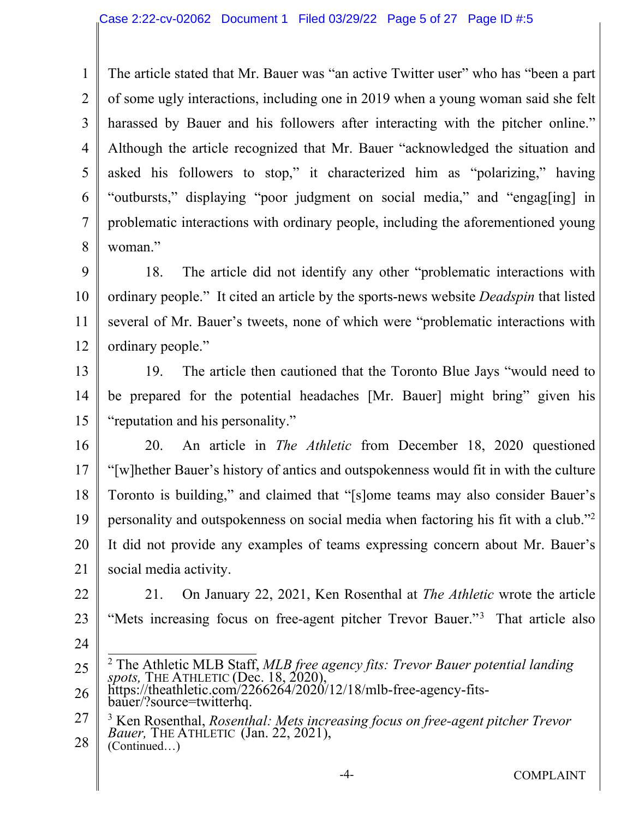1 2 3 4 5 6 7 8 The article stated that Mr. Bauer was "an active Twitter user" who has "been a part of some ugly interactions, including one in 2019 when a young woman said she felt harassed by Bauer and his followers after interacting with the pitcher online." Although the article recognized that Mr. Bauer "acknowledged the situation and asked his followers to stop," it characterized him as "polarizing," having "outbursts," displaying "poor judgment on social media," and "engag[ing] in problematic interactions with ordinary people, including the aforementioned young woman."

9 10 11 12 18. The article did not identify any other "problematic interactions with ordinary people." It cited an article by the sports-news website *Deadspin* that listed several of Mr. Bauer's tweets, none of which were "problematic interactions with ordinary people."

13 14 15 19. The article then cautioned that the Toronto Blue Jays "would need to be prepared for the potential headaches [Mr. Bauer] might bring" given his "reputation and his personality."

- 16 17 18 19 20 21 20. An article in *The Athletic* from December 18, 2020 questioned "[w]hether Bauer's history of antics and outspokenness would fit in with the culture Toronto is building," and claimed that "[s]ome teams may also consider Bauer's personality and outspokenness on social media when factoring his fit with a club."<sup>2</sup> It did not provide any examples of teams expressing concern about Mr. Bauer's social media activity.
- 22 23 21. On January 22, 2021, Ken Rosenthal at *The Athletic* wrote the article "Mets increasing focus on free-agent pitcher Trevor Bauer."<sup>3</sup> That article also
- 24

28 (Continued…)

<sup>25</sup> 2 The Athletic MLB Staff, *MLB free agency fits: Trevor Bauer potential landing spots,* THE ATHLETIC (Dec. 18, 2020),

<sup>26</sup> https://theathletic.com/2266264/2020/12/18/mlb-free-agency-fitsbauer/?source=twitterhq.

<sup>27</sup> 3 Ken Rosenthal, *Rosenthal: Mets increasing focus on free-agent pitcher Trevor Bauer,* THE ATHLETIC (Jan. 22, 2021),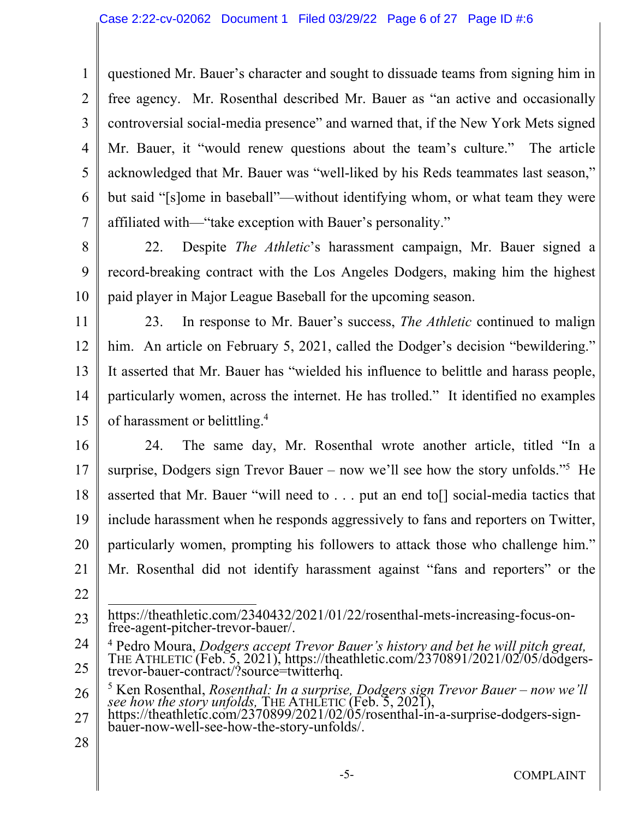1 2 3 4 5 6 7 questioned Mr. Bauer's character and sought to dissuade teams from signing him in free agency. Mr. Rosenthal described Mr. Bauer as "an active and occasionally controversial social-media presence" and warned that, if the New York Mets signed Mr. Bauer, it "would renew questions about the team's culture." The article acknowledged that Mr. Bauer was "well-liked by his Reds teammates last season," but said "[s]ome in baseball"—without identifying whom, or what team they were affiliated with—"take exception with Bauer's personality."

8 9 10 22. Despite *The Athletic*'s harassment campaign, Mr. Bauer signed a record-breaking contract with the Los Angeles Dodgers, making him the highest paid player in Major League Baseball for the upcoming season.

11 12 13 14 15 23. In response to Mr. Bauer's success, *The Athletic* continued to malign him. An article on February 5, 2021, called the Dodger's decision "bewildering." It asserted that Mr. Bauer has "wielded his influence to belittle and harass people, particularly women, across the internet. He has trolled." It identified no examples of harassment or belittling.<sup>4</sup>

16

17 18 19 20 21 24. The same day, Mr. Rosenthal wrote another article, titled "In a surprise, Dodgers sign Trevor Bauer – now we'll see how the story unfolds."<sup>5</sup> He asserted that Mr. Bauer "will need to . . . put an end to[] social-media tactics that include harassment when he responds aggressively to fans and reporters on Twitter, particularly women, prompting his followers to attack those who challenge him." Mr. Rosenthal did not identify harassment against "fans and reporters" or the

22

<sup>23</sup> https://theathletic.com/2340432/2021/01/22/rosenthal-mets-increasing-focus-onfree-agent-pitcher-trevor-bauer/.

<sup>24</sup> 25 4 Pedro Moura, *Dodgers accept Trevor Bauer's history and bet he will pitch great,*  THE ATHLETIC (Feb. 5, 2021), https://theathletic.com/2370891/2021/02/05/dodgerstrevor-bauer-contract/?source=twitterhq.

<sup>26</sup> <sup>5</sup> Ken Rosenthal, *Rosenthal: In a surprise, Dodgers sign Trevor Bauer – now we'll see how the story unfolds,* THE ATHLETIC (Feb. 5, 2021),

<sup>27</sup> https://theathletic.com/2370899/2021/02/05/rosenthal-in-a-surprise-dodgers-signbauer-now-well-see-how-the-story-unfolds/.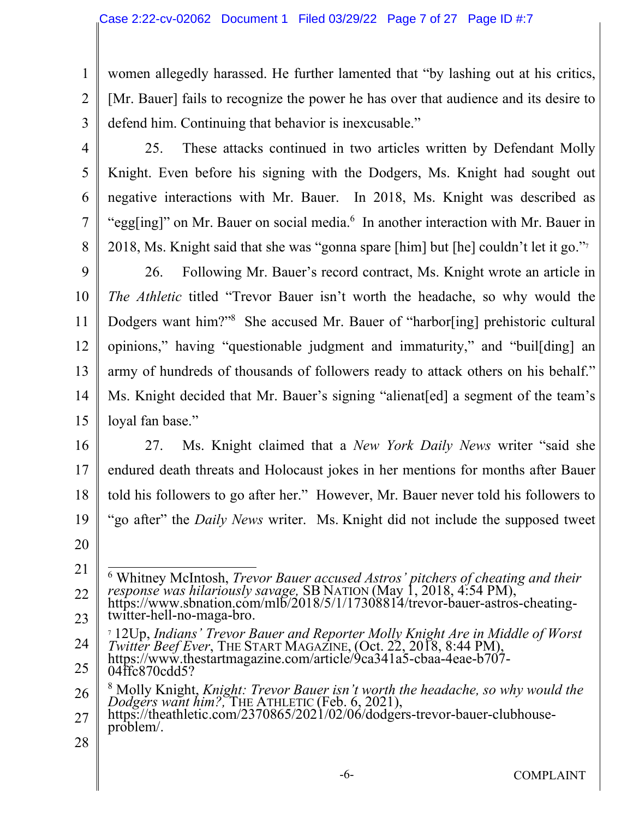women allegedly harassed. He further lamented that "by lashing out at his critics, [Mr. Bauer] fails to recognize the power he has over that audience and its desire to defend him. Continuing that behavior is inexcusable."

3 4

5

6

7

8

1

2

25. These attacks continued in two articles written by Defendant Molly Knight. Even before his signing with the Dodgers, Ms. Knight had sought out negative interactions with Mr. Bauer. In 2018, Ms. Knight was described as "egg[ing]" on Mr. Bauer on social media.<sup>6</sup> In another interaction with Mr. Bauer in 2018, Ms. Knight said that she was "gonna spare [him] but [he] couldn't let it go."<sup>7</sup>

9 10 11 12 13 14 15 26. Following Mr. Bauer's record contract, Ms. Knight wrote an article in *The Athletic* titled "Trevor Bauer isn't worth the headache, so why would the Dodgers want him?"<sup>8</sup> She accused Mr. Bauer of "harbor[ing] prehistoric cultural opinions," having "questionable judgment and immaturity," and "buil[ding] an army of hundreds of thousands of followers ready to attack others on his behalf." Ms. Knight decided that Mr. Bauer's signing "alienat[ed] a segment of the team's loyal fan base."

16 17 18 19 27. Ms. Knight claimed that a *New York Daily News* writer "said she endured death threats and Holocaust jokes in her mentions for months after Bauer told his followers to go after her." However, Mr. Bauer never told his followers to "go after" the *Daily News* writer. Ms. Knight did not include the supposed tweet

20

24 <sup>7</sup> 12Up, *Indians' Trevor Bauer and Reporter Molly Knight Are in Middle of Worst Twitter Beef Ever*, THE START MAGAZINE, (Oct. 22, 2018, 8:44 PM), https://www.thestartmagazine.com/article/9ca341a5-cbaa-4eae-b707-

25 04ffc870cdd5?

<sup>21</sup> 22 23 <sup>6</sup> Whitney McIntosh, *Trevor Bauer accused Astros' pitchers of cheating and their response was hilariously savage,* SB NATION (May 1, 2018, 4:54 PM), https://www.sbnation.com/mlb/2018/5/1/17308814/trevor-bauer-astros-cheatingtwitter-hell-no-maga-bro.

<sup>26</sup> 8 Molly Knight, *Knight: Trevor Bauer isn't worth the headache, so why would the Dodgers want him?,* THE ATHLETIC (Feb. 6, 2021),

<sup>27</sup> https://theathletic.com/2370865/2021/02/06/dodgers-trevor-bauer-clubhouseproblem/.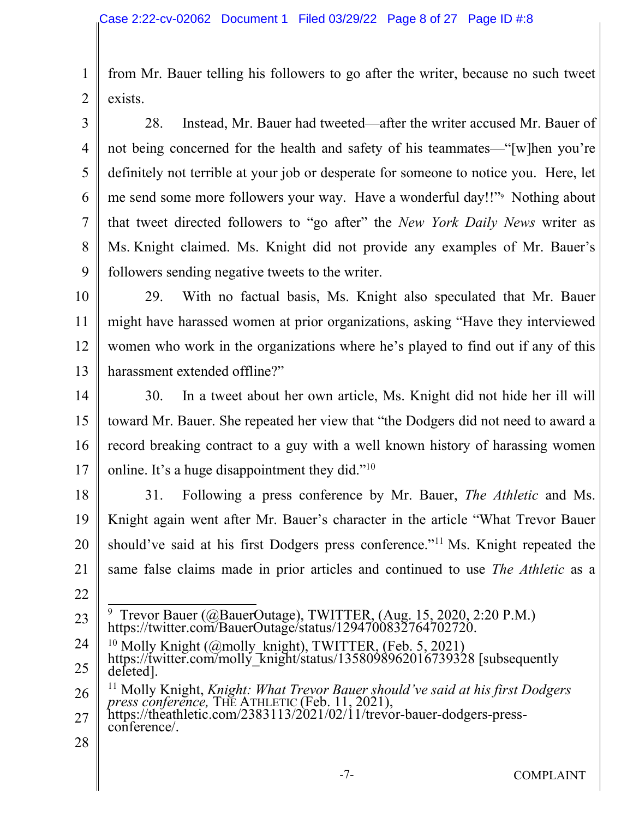1 2 from Mr. Bauer telling his followers to go after the writer, because no such tweet exists.

3 4 5 6 7 8 9 28. Instead, Mr. Bauer had tweeted—after the writer accused Mr. Bauer of not being concerned for the health and safety of his teammates—"[w]hen you're definitely not terrible at your job or desperate for someone to notice you. Here, let me send some more followers your way. Have a wonderful day!!"<sup>9</sup> Nothing about that tweet directed followers to "go after" the *New York Daily News* writer as Ms. Knight claimed. Ms. Knight did not provide any examples of Mr. Bauer's followers sending negative tweets to the writer.

- 10 11 12 13 29. With no factual basis, Ms. Knight also speculated that Mr. Bauer might have harassed women at prior organizations, asking "Have they interviewed women who work in the organizations where he's played to find out if any of this harassment extended offline?"
- 14 15 16 17 30. In a tweet about her own article, Ms. Knight did not hide her ill will toward Mr. Bauer. She repeated her view that "the Dodgers did not need to award a record breaking contract to a guy with a well known history of harassing women online. It's a huge disappointment they did."<sup>10</sup>
- 18 19 20 21 22 31. Following a press conference by Mr. Bauer, *The Athletic* and Ms. Knight again went after Mr. Bauer's character in the article "What Trevor Bauer should've said at his first Dodgers press conference."<sup>11</sup> Ms. Knight repeated the same false claims made in prior articles and continued to use *The Athletic* as a
- 23 9 Trevor Bauer (@BauerOutage), TWITTER, (Aug. 15, 2020, 2:20 P.M.) https://twitter.com/BauerOutage/status/1294700832764702720.
- 24 <sup>10</sup> Molly Knight (@molly\_knight), TWITTER, (Feb. 5, 2021)
- 25 https://twitter.com/molly\_knight/status/1358098962016739328 [subsequently deleted].

26 <sup>11</sup> Molly Knight, *Knight: What Trevor Bauer should've said at his first Dodgers press conference,* THE ATHLETIC (Feb. 11, 2021),

- 27 https://theathletic.com/2383113/2021/02/11/trevor-bauer-dodgers-pressconference/.
- 28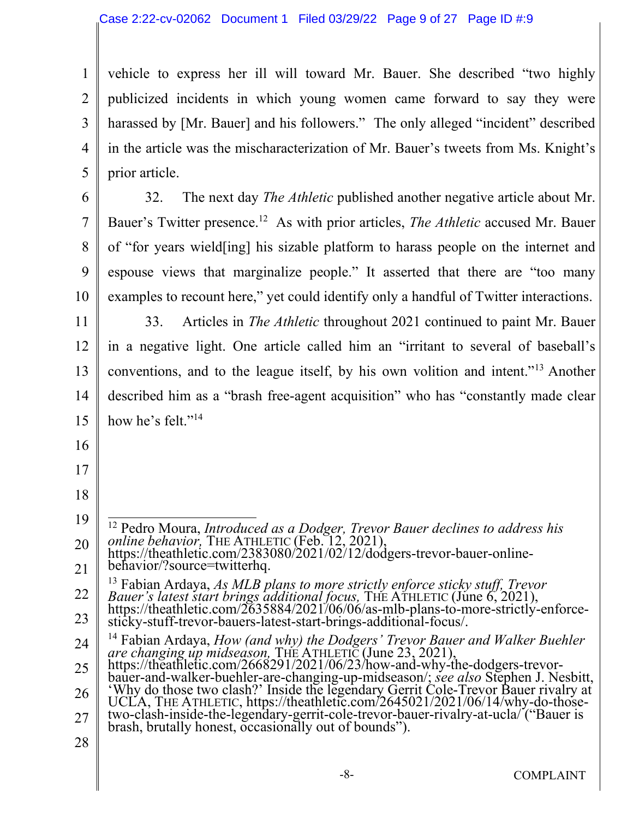1 2 3 4 5 vehicle to express her ill will toward Mr. Bauer. She described "two highly publicized incidents in which young women came forward to say they were harassed by [Mr. Bauer] and his followers." The only alleged "incident" described in the article was the mischaracterization of Mr. Bauer's tweets from Ms. Knight's prior article.

6 7 8 9 10 32. The next day *The Athletic* published another negative article about Mr. Bauer's Twitter presence.<sup>12</sup> As with prior articles, *The Athletic* accused Mr. Bauer of "for years wield[ing] his sizable platform to harass people on the internet and espouse views that marginalize people." It asserted that there are "too many examples to recount here," yet could identify only a handful of Twitter interactions.

11 12 13 14 15 33. Articles in *The Athletic* throughout 2021 continued to paint Mr. Bauer in a negative light. One article called him an "irritant to several of baseball's conventions, and to the league itself, by his own volition and intent."<sup>13</sup> Another described him as a "brash free-agent acquisition" who has "constantly made clear how he's felt."<sup>14</sup>

- 16
- 17
- 18
- 19

20 <sup>12</sup> Pedro Moura, *Introduced as a Dodger, Trevor Bauer declines to address his online behavior,* THE ATHLETIC (Feb. 12, 2021), https://theathletic.com/2383080/2021/02/12/dodgers-trevor-bauer-online-

21 behavior/?source=twitterhq.

22 23 <sup>13</sup> Fabian Ardaya, *As MLB plans to more strictly enforce sticky stuff, Trevor Bauer's latest start brings additional focus, THE ATHLETIC (June 6, 2021),* https://theathletic.com/2635884/2021/06/06/as-mlb-plans-to-more-strictly-enforcesticky-stuff-trevor-bauers-latest-start-brings-additional-focus/.

<sup>24</sup> <sup>14</sup> Fabian Ardaya, *How (and why) the Dodgers' Trevor Bauer and Walker Buehler are changing up midseason,* THE ATHLETIC (June 23, 2021),

<sup>25</sup> 26 https://theathletic.com/2668291/2021/06/23/how-and-why-the-dodgers-trevorbauer-and-walker-buehler-are-changing-up-midseason/; *see also* Stephen J. Nesbitt, 'Why do those two clash?' Inside the legendary Gerrit Cole-Trevor Bauer rivalry at

<sup>27</sup> UCLA, THE ATHLETIC, https://theathletic.com/2645021/2021/06/14/why-do-thosetwo-clash-inside-the-legendary-gerrit-cole-trevor-bauer-rivalry-at-ucla/ ("Bauer is brash, brutally honest, occasionally out of bounds").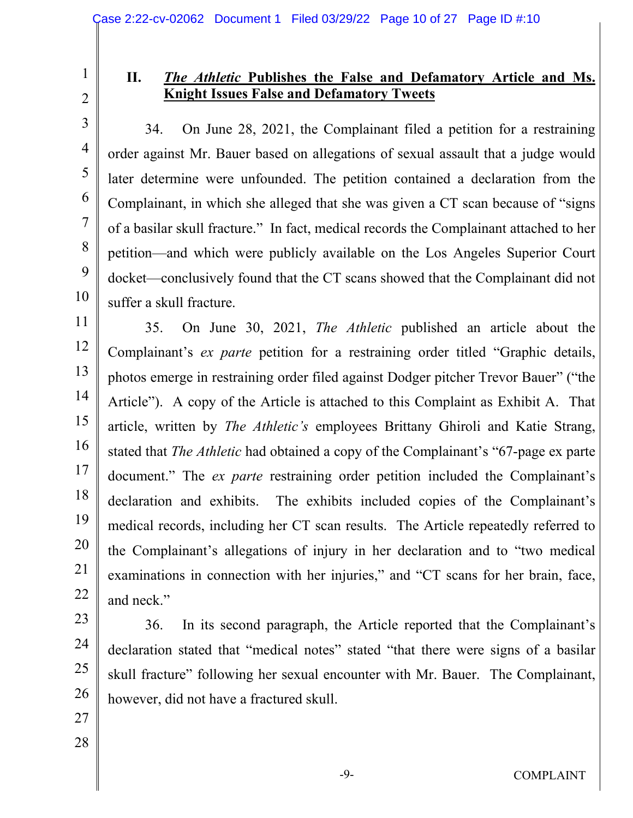2

3

4

5

6

7

8

9

10

1

### **II.** *The Athletic* **Publishes the False and Defamatory Article and Ms. Knight Issues False and Defamatory Tweets**

34. On June 28, 2021, the Complainant filed a petition for a restraining order against Mr. Bauer based on allegations of sexual assault that a judge would later determine were unfounded. The petition contained a declaration from the Complainant, in which she alleged that she was given a CT scan because of "signs of a basilar skull fracture." In fact, medical records the Complainant attached to her petition—and which were publicly available on the Los Angeles Superior Court docket—conclusively found that the CT scans showed that the Complainant did not suffer a skull fracture.

11 12 13 14 15 16 17 18 19 20 21 22 35. On June 30, 2021, *The Athletic* published an article about the Complainant's *ex parte* petition for a restraining order titled "Graphic details, photos emerge in restraining order filed against Dodger pitcher Trevor Bauer" ("the Article"). A copy of the Article is attached to this Complaint as Exhibit A. That article, written by *The Athletic's* employees Brittany Ghiroli and Katie Strang, stated that *The Athletic* had obtained a copy of the Complainant's "67-page ex parte document." The *ex parte* restraining order petition included the Complainant's declaration and exhibits. The exhibits included copies of the Complainant's medical records, including her CT scan results. The Article repeatedly referred to the Complainant's allegations of injury in her declaration and to "two medical examinations in connection with her injuries," and "CT scans for her brain, face, and neck."

23 24 25 26 36. In its second paragraph, the Article reported that the Complainant's declaration stated that "medical notes" stated "that there were signs of a basilar skull fracture" following her sexual encounter with Mr. Bauer. The Complainant, however, did not have a fractured skull.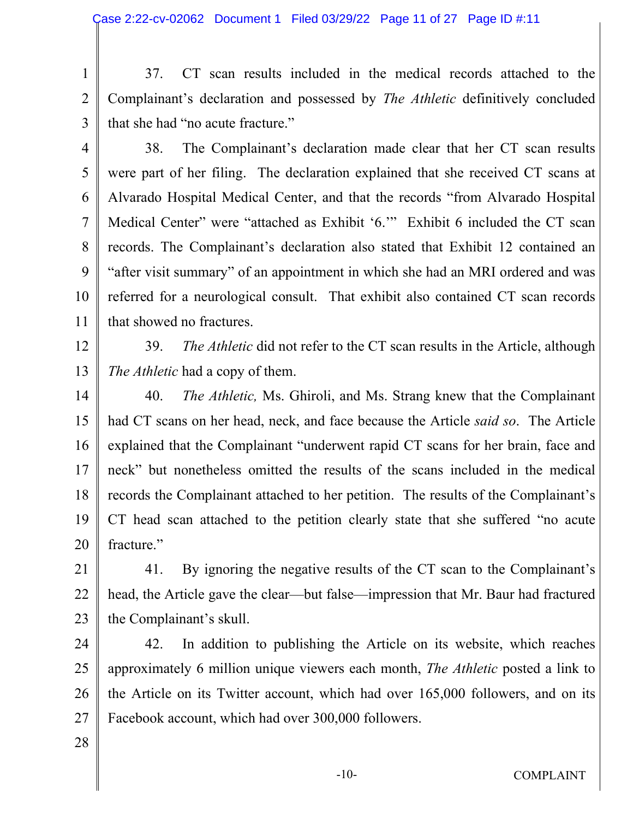1 2 37. CT scan results included in the medical records attached to the Complainant's declaration and possessed by *The Athletic* definitively concluded that she had "no acute fracture."

3 4

5

6

7

8

9

10

11

38. The Complainant's declaration made clear that her CT scan results were part of her filing. The declaration explained that she received CT scans at Alvarado Hospital Medical Center, and that the records "from Alvarado Hospital Medical Center" were "attached as Exhibit '6.'" Exhibit 6 included the CT scan records. The Complainant's declaration also stated that Exhibit 12 contained an "after visit summary" of an appointment in which she had an MRI ordered and was referred for a neurological consult. That exhibit also contained CT scan records that showed no fractures.

12 13 39. *The Athletic* did not refer to the CT scan results in the Article, although *The Athletic* had a copy of them.

14 15 16 17 18 19 20 40. *The Athletic,* Ms. Ghiroli, and Ms. Strang knew that the Complainant had CT scans on her head, neck, and face because the Article *said so*. The Article explained that the Complainant "underwent rapid CT scans for her brain, face and neck" but nonetheless omitted the results of the scans included in the medical records the Complainant attached to her petition. The results of the Complainant's CT head scan attached to the petition clearly state that she suffered "no acute fracture."

21 22 23 41. By ignoring the negative results of the CT scan to the Complainant's head, the Article gave the clear—but false—impression that Mr. Baur had fractured the Complainant's skull.

24 25 26 27 42. In addition to publishing the Article on its website, which reaches approximately 6 million unique viewers each month, *The Athletic* posted a link to the Article on its Twitter account, which had over 165,000 followers, and on its Facebook account, which had over 300,000 followers.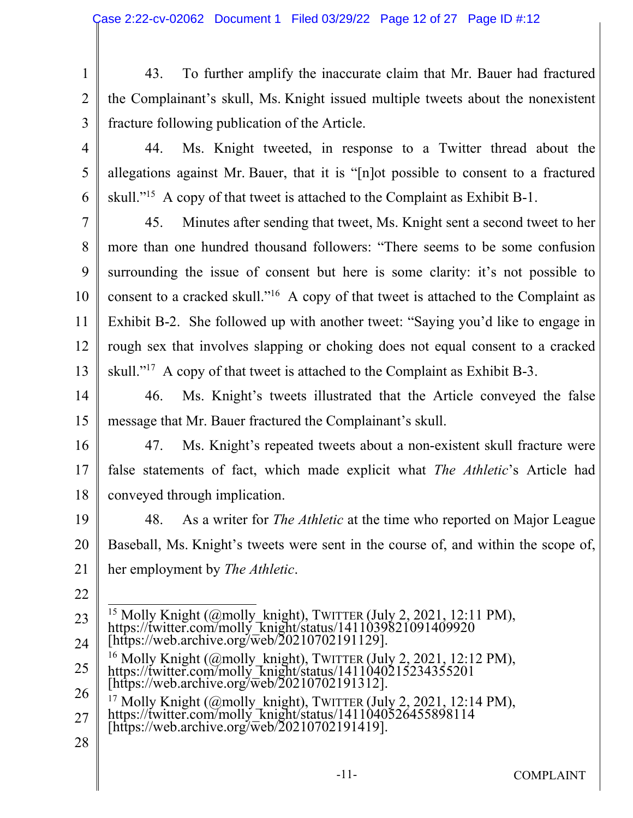1 2 3 43. To further amplify the inaccurate claim that Mr. Bauer had fractured the Complainant's skull, Ms. Knight issued multiple tweets about the nonexistent fracture following publication of the Article.

4

5

6

44. Ms. Knight tweeted, in response to a Twitter thread about the allegations against Mr. Bauer, that it is "[n]ot possible to consent to a fractured skull."<sup>15</sup> A copy of that tweet is attached to the Complaint as Exhibit B-1.

7 8 9 10 11 12 13 45. Minutes after sending that tweet, Ms. Knight sent a second tweet to her more than one hundred thousand followers: "There seems to be some confusion surrounding the issue of consent but here is some clarity: it's not possible to consent to a cracked skull."<sup>16</sup> A copy of that tweet is attached to the Complaint as Exhibit B-2. She followed up with another tweet: "Saying you'd like to engage in rough sex that involves slapping or choking does not equal consent to a cracked skull."<sup>17</sup> A copy of that tweet is attached to the Complaint as Exhibit B-3.

14 15 46. Ms. Knight's tweets illustrated that the Article conveyed the false message that Mr. Bauer fractured the Complainant's skull.

16

17 18 47. Ms. Knight's repeated tweets about a non-existent skull fracture were false statements of fact, which made explicit what *The Athletic*'s Article had conveyed through implication.

- 19 20 21 48. As a writer for *The Athletic* at the time who reported on Major League Baseball, Ms. Knight's tweets were sent in the course of, and within the scope of, her employment by *The Athletic*.
- 22
- 23 24 25 26 <sup>15</sup> Molly Knight (@molly\_knight), TWITTER (July 2, 2021, 12:11 PM), https://twitter.com/molly\_knight/status/1411039821091409920 [https://web.archive.org/web/20210702191129].  $^{16}$  Molly Knight (@molly\_knight), TWITTER (July 2, 2021, 12:12 PM), https://twitter.com/molly\_knight/status/1411040215234355201 [https://web.archive.org/web/20210702191312].  $17$  Molly Knight (@molly\_knight), TWITTER (July 2, 2021, 12:14 PM),
- 27 https://twitter.com/molly\_knight/status/1411040526455898114 [https://web.archive.org/web/20210702191419].
- 28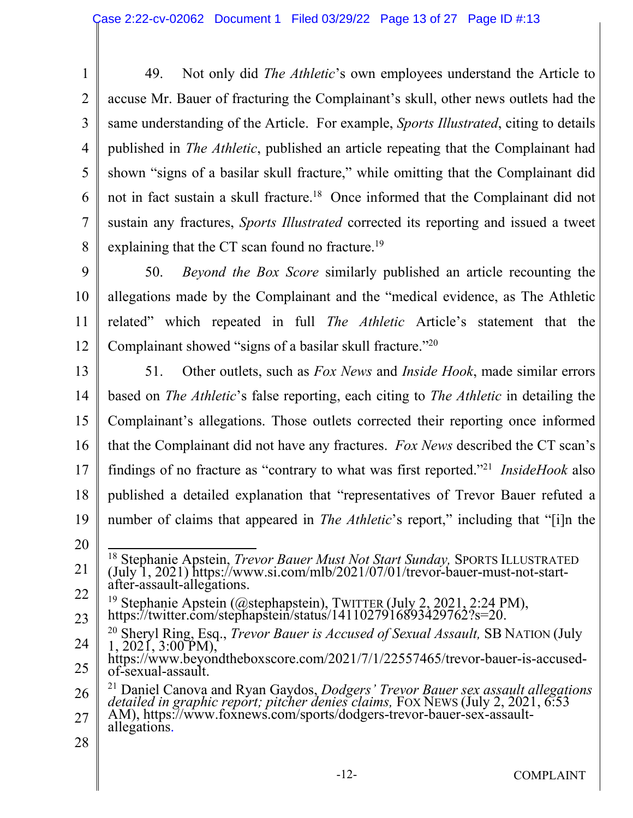1 2 3 4 5 6 7 8 49. Not only did *The Athletic*'s own employees understand the Article to accuse Mr. Bauer of fracturing the Complainant's skull, other news outlets had the same understanding of the Article. For example, *Sports Illustrated*, citing to details published in *The Athletic*, published an article repeating that the Complainant had shown "signs of a basilar skull fracture," while omitting that the Complainant did not in fact sustain a skull fracture.<sup>18</sup> Once informed that the Complainant did not sustain any fractures, *Sports Illustrated* corrected its reporting and issued a tweet explaining that the CT scan found no fracture.<sup>19</sup>

9 10 11 12 50. *Beyond the Box Score* similarly published an article recounting the allegations made by the Complainant and the "medical evidence, as The Athletic related" which repeated in full *The Athletic* Article's statement that the Complainant showed "signs of a basilar skull fracture."<sup>20</sup>

13 14 15 16 17 18 19 20 51. Other outlets, such as *Fox News* and *Inside Hook*, made similar errors based on *The Athletic*'s false reporting, each citing to *The Athletic* in detailing the Complainant's allegations. Those outlets corrected their reporting once informed that the Complainant did not have any fractures. *Fox News* described the CT scan's findings of no fracture as "contrary to what was first reported."<sup>21</sup> *InsideHook* also published a detailed explanation that "representatives of Trevor Bauer refuted a number of claims that appeared in *The Athletic*'s report," including that "[i]n the

- 21 <sup>18</sup> Stephanie Apstein, *Trevor Bauer Must Not Start Sunday,* SPORTS ILLUSTRATED (July 1, 2021) https://www.si.com/mlb/2021/07/01/trevor-bauer-must-not-startafter-assault-allegations.
- 22 23 <sup>19</sup> Stephanie Apstein (@stephapstein), TWITTER (July 2, 2021, 2:24 PM), https://twitter.com/stephapstein/status/1411027916893429762?s=20.

<sup>24</sup> <sup>20</sup> Sheryl Ring, Esq., *Trevor Bauer is Accused of Sexual Assault,* SB NATION (July 1, 2021, 3:00 PM),

<sup>25</sup> https://www.beyondtheboxscore.com/2021/7/1/22557465/trevor-bauer-is-accusedof-sexual-assault.

<sup>26</sup> 27 <sup>21</sup> Daniel Canova and Ryan Gaydos, *Dodgers' Trevor Bauer sex assault allegations detailed in graphic report; pitcher denies claims,* FOX NEWS (July 2, 2021, 6:53 AM), https://www.foxnews.com/sports/dodgers-trevor-bauer-sex-assaultallegations.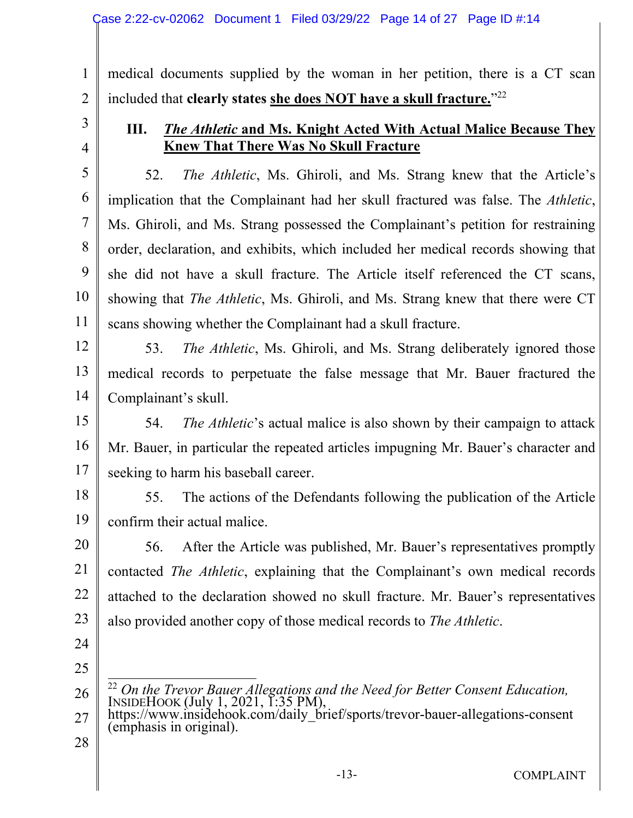medical documents supplied by the woman in her petition, there is a CT scan included that **clearly states she does NOT have a skull fracture.**" 22

3

4

5

6

7

8

9

10

1

2

#### **III.** *The Athletic* **and Ms. Knight Acted With Actual Malice Because They Knew That There Was No Skull Fracture**

52. *The Athletic*, Ms. Ghiroli, and Ms. Strang knew that the Article's implication that the Complainant had her skull fractured was false. The *Athletic*, Ms. Ghiroli, and Ms. Strang possessed the Complainant's petition for restraining order, declaration, and exhibits, which included her medical records showing that she did not have a skull fracture. The Article itself referenced the CT scans, showing that *The Athletic*, Ms. Ghiroli, and Ms. Strang knew that there were CT scans showing whether the Complainant had a skull fracture.

12

13

11

53. *The Athletic*, Ms. Ghiroli, and Ms. Strang deliberately ignored those medical records to perpetuate the false message that Mr. Bauer fractured the Complainant's skull.

14 15

16 17 54. *The Athletic*'s actual malice is also shown by their campaign to attack Mr. Bauer, in particular the repeated articles impugning Mr. Bauer's character and seeking to harm his baseball career.

18 19 55. The actions of the Defendants following the publication of the Article confirm their actual malice.

20 21 22 23 56. After the Article was published, Mr. Bauer's representatives promptly contacted *The Athletic*, explaining that the Complainant's own medical records attached to the declaration showed no skull fracture. Mr. Bauer's representatives also provided another copy of those medical records to *The Athletic*.

- 24
- 25

26

<sup>22</sup> On the Trevor Bauer Allegations and the Need for Better Consent Education, INSIDEHOOK (July 1, 2021, 1:35 PM),

- 27 https://www.insidehook.com/daily\_brief/sports/trevor-bauer-allegations-consent (emphasis in original).
- 28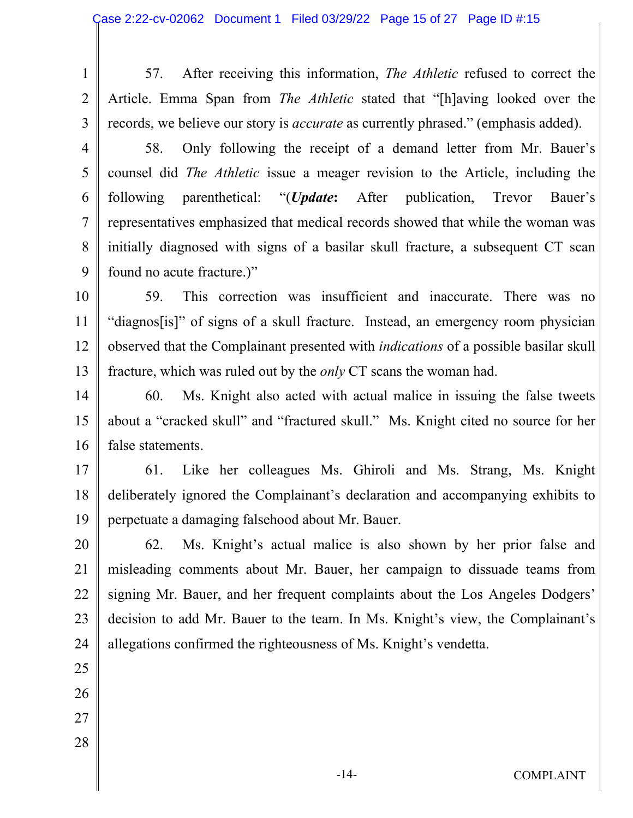- 1 2 3 57. After receiving this information, *The Athletic* refused to correct the Article. Emma Span from *The Athletic* stated that "[h]aving looked over the records, we believe our story is *accurate* as currently phrased." (emphasis added).
- 4 5 6 7 8 9 58. Only following the receipt of a demand letter from Mr. Bauer's counsel did *The Athletic* issue a meager revision to the Article, including the following parenthetical: "(*Update***:** After publication, Trevor Bauer's representatives emphasized that medical records showed that while the woman was initially diagnosed with signs of a basilar skull fracture, a subsequent CT scan found no acute fracture.)"
- 10 11 12 13 59. This correction was insufficient and inaccurate. There was no "diagnos[is]" of signs of a skull fracture. Instead, an emergency room physician observed that the Complainant presented with *indications* of a possible basilar skull fracture, which was ruled out by the *only* CT scans the woman had.
- 14 15 16 60. Ms. Knight also acted with actual malice in issuing the false tweets about a "cracked skull" and "fractured skull." Ms. Knight cited no source for her false statements.
- 17 18 19 61. Like her colleagues Ms. Ghiroli and Ms. Strang, Ms. Knight deliberately ignored the Complainant's declaration and accompanying exhibits to perpetuate a damaging falsehood about Mr. Bauer.
- 20 21 22 23 24 62. Ms. Knight's actual malice is also shown by her prior false and misleading comments about Mr. Bauer, her campaign to dissuade teams from signing Mr. Bauer, and her frequent complaints about the Los Angeles Dodgers' decision to add Mr. Bauer to the team. In Ms. Knight's view, the Complainant's allegations confirmed the righteousness of Ms. Knight's vendetta.
- 25
- 26
- 27
- 28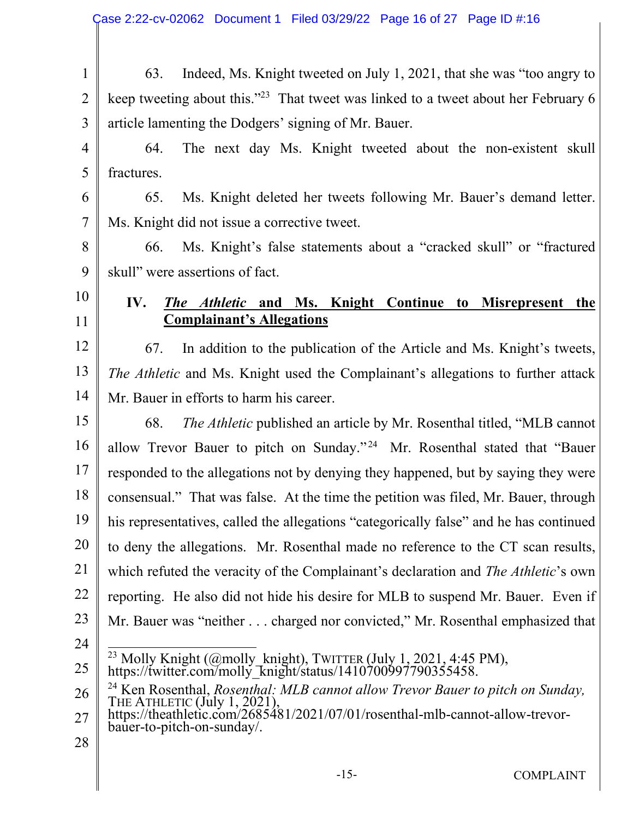1 2 3 63. Indeed, Ms. Knight tweeted on July 1, 2021, that she was "too angry to keep tweeting about this."<sup>23</sup> That tweet was linked to a tweet about her February 6 article lamenting the Dodgers' signing of Mr. Bauer.

4 5 64. The next day Ms. Knight tweeted about the non-existent skull fractures.

6 7 65. Ms. Knight deleted her tweets following Mr. Bauer's demand letter. Ms. Knight did not issue a corrective tweet.

8 9 66. Ms. Knight's false statements about a "cracked skull" or "fractured skull" were assertions of fact.

## **IV.** *The Athletic* **and Ms. Knight Continue to Misrepresent the Complainant's Allegations**

12 13 14 67. In addition to the publication of the Article and Ms. Knight's tweets, *The Athletic* and Ms. Knight used the Complainant's allegations to further attack Mr. Bauer in efforts to harm his career.

- 15 16 17 18 19 20 21 22 23 68. *The Athletic* published an article by Mr. Rosenthal titled, "MLB cannot allow Trevor Bauer to pitch on Sunday."<sup>24</sup> Mr. Rosenthal stated that "Bauer responded to the allegations not by denying they happened, but by saying they were consensual." That was false. At the time the petition was filed, Mr. Bauer, through his representatives, called the allegations "categorically false" and he has continued to deny the allegations. Mr. Rosenthal made no reference to the CT scan results, which refuted the veracity of the Complainant's declaration and *The Athletic*'s own reporting. He also did not hide his desire for MLB to suspend Mr. Bauer. Even if Mr. Bauer was "neither . . . charged nor convicted," Mr. Rosenthal emphasized that
- 24

10

11

<sup>23</sup> Molly Knight (@molly\_knight), TWITTER (July 1, 2021, 4:45 PM),

<sup>25</sup> https://twitter.com/molly\_knight/status/1410700997790355458.

<sup>26</sup> <sup>24</sup> Ken Rosenthal, *Rosenthal: MLB cannot allow Trevor Bauer to pitch on Sunday,*  THE ATHLETIC (July 1, 2021),

<sup>27</sup> https://theathletic.com/2685481/2021/07/01/rosenthal-mlb-cannot-allow-trevorbauer-to-pitch-on-sunday/.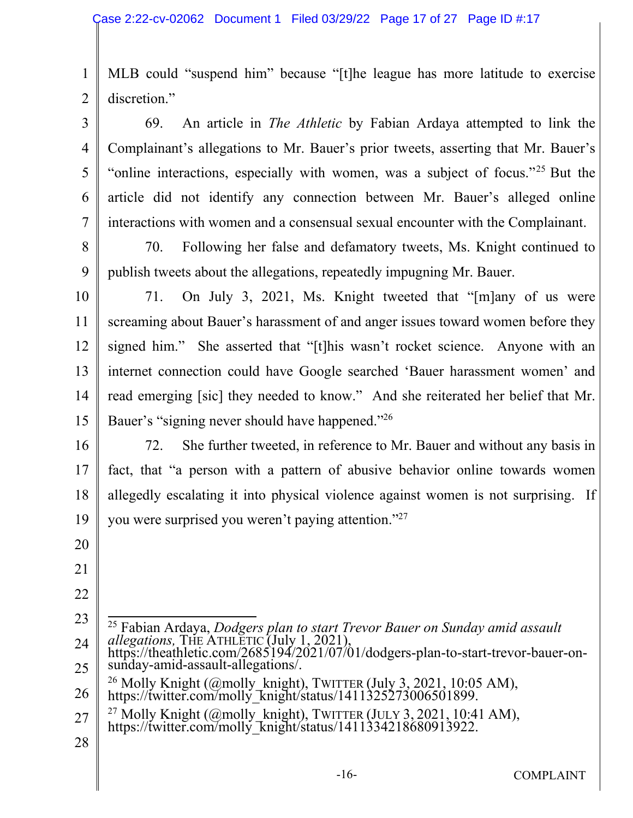1 2 MLB could "suspend him" because "[t]he league has more latitude to exercise discretion."

69. An article in *The Athletic* by Fabian Ardaya attempted to link the Complainant's allegations to Mr. Bauer's prior tweets, asserting that Mr. Bauer's "online interactions, especially with women, was a subject of focus."<sup>25</sup> But the article did not identify any connection between Mr. Bauer's alleged online interactions with women and a consensual sexual encounter with the Complainant.

8 9 70. Following her false and defamatory tweets, Ms. Knight continued to publish tweets about the allegations, repeatedly impugning Mr. Bauer.

10 11 12 13 14 15 71. On July 3, 2021, Ms. Knight tweeted that "[m]any of us were screaming about Bauer's harassment of and anger issues toward women before they signed him." She asserted that "[t]his wasn't rocket science. Anyone with an internet connection could have Google searched 'Bauer harassment women' and read emerging [sic] they needed to know." And she reiterated her belief that Mr. Bauer's "signing never should have happened."<sup>26</sup>

16 17 18 19 72. She further tweeted, in reference to Mr. Bauer and without any basis in fact, that "a person with a pattern of abusive behavior online towards women allegedly escalating it into physical violence against women is not surprising. If you were surprised you weren't paying attention."<sup>27</sup>

20

3

4

5

6

- 21
- 22
- 23 24 25 26 27 28 <sup>25</sup> Fabian Ardaya, *Dodgers plan to start Trevor Bauer on Sunday amid assault allegations,* THE ATHLETIC (July 1, 2021), https://theathletic.com/2685194/2021/07/01/dodgers-plan-to-start-trevor-bauer-onsunday-amid-assault-allegations/. <sup>26</sup> Molly Knight (@molly\_knight), TWITTER (July 3, 2021, 10:05 AM), https://twitter.com/molly knight/status/1411325273006501899. <sup>27</sup> Molly Knight (@molly\_knight), TWITTER (JULY 3, 2021, 10:41 AM), https://twitter.com/molly\_knight/status/1411334218680913922.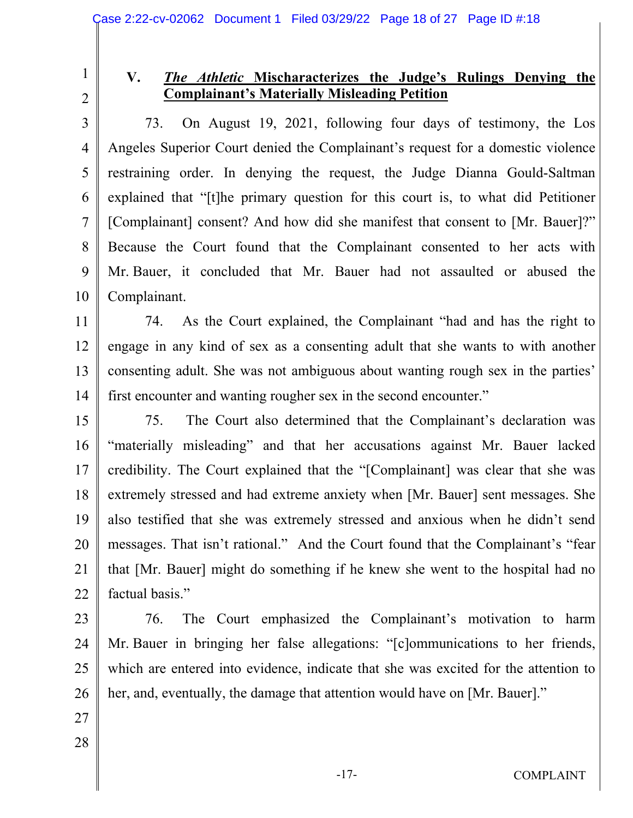2

1

### **V.** *The Athletic* **Mischaracterizes the Judge's Rulings Denying the Complainant's Materially Misleading Petition**

3 4 5 6 7 8 9 10 73. On August 19, 2021, following four days of testimony, the Los Angeles Superior Court denied the Complainant's request for a domestic violence restraining order. In denying the request, the Judge Dianna Gould-Saltman explained that "[t]he primary question for this court is, to what did Petitioner [Complainant] consent? And how did she manifest that consent to [Mr. Bauer]?" Because the Court found that the Complainant consented to her acts with Mr. Bauer, it concluded that Mr. Bauer had not assaulted or abused the Complainant.

11 12 13 14 74. As the Court explained, the Complainant "had and has the right to engage in any kind of sex as a consenting adult that she wants to with another consenting adult. She was not ambiguous about wanting rough sex in the parties' first encounter and wanting rougher sex in the second encounter."

15 16 17 18 19 20 21 22 75. The Court also determined that the Complainant's declaration was "materially misleading" and that her accusations against Mr. Bauer lacked credibility. The Court explained that the "[Complainant] was clear that she was extremely stressed and had extreme anxiety when [Mr. Bauer] sent messages. She also testified that she was extremely stressed and anxious when he didn't send messages. That isn't rational." And the Court found that the Complainant's "fear that [Mr. Bauer] might do something if he knew she went to the hospital had no factual basis."

- 23 24 25 26 76. The Court emphasized the Complainant's motivation to harm Mr. Bauer in bringing her false allegations: "[c]ommunications to her friends, which are entered into evidence, indicate that she was excited for the attention to her, and, eventually, the damage that attention would have on [Mr. Bauer]."
- 27 28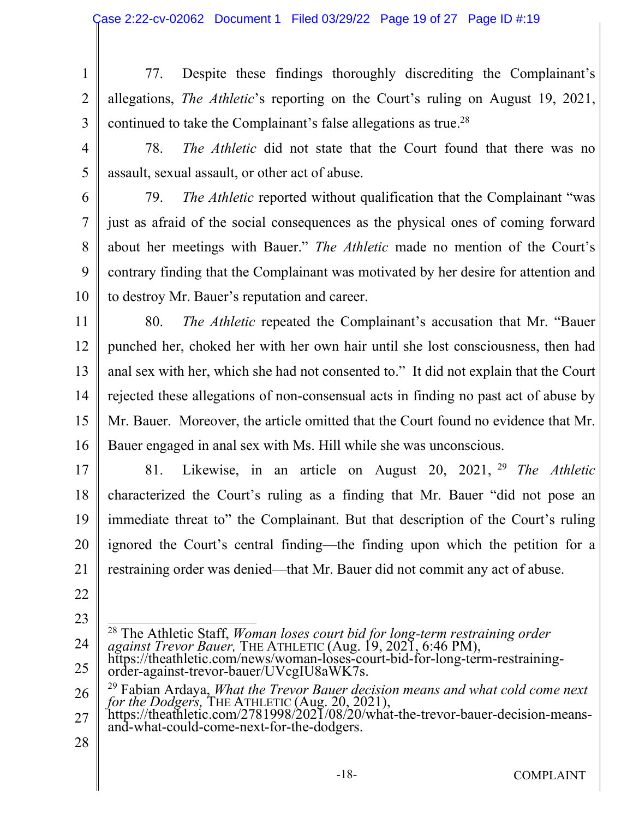- 1 2 3 77. Despite these findings thoroughly discrediting the Complainant's allegations, *The Athletic*'s reporting on the Court's ruling on August 19, 2021, continued to take the Complainant's false allegations as true.<sup>28</sup>
- 4

78. *The Athletic* did not state that the Court found that there was no assault, sexual assault, or other act of abuse.

6 7

8

9

10

5

79. *The Athletic* reported without qualification that the Complainant "was just as afraid of the social consequences as the physical ones of coming forward about her meetings with Bauer." *The Athletic* made no mention of the Court's contrary finding that the Complainant was motivated by her desire for attention and to destroy Mr. Bauer's reputation and career.

11 12 13 14 15 16 80. *The Athletic* repeated the Complainant's accusation that Mr. "Bauer punched her, choked her with her own hair until she lost consciousness, then had anal sex with her, which she had not consented to." It did not explain that the Court rejected these allegations of non-consensual acts in finding no past act of abuse by Mr. Bauer. Moreover, the article omitted that the Court found no evidence that Mr. Bauer engaged in anal sex with Ms. Hill while she was unconscious.

17 18 19 20 21 81. Likewise, in an article on August 20, 2021, <sup>29</sup> *The Athletic*  characterized the Court's ruling as a finding that Mr. Bauer "did not pose an immediate threat to" the Complainant. But that description of the Court's ruling ignored the Court's central finding—the finding upon which the petition for a restraining order was denied—that Mr. Bauer did not commit any act of abuse.

- 22
- 23



26 <sup>29</sup> Fabian Ardaya, *What the Trevor Bauer decision means and what cold come next for the Dodgers,* THE ATHLETIC (Aug. 20, 2021),

<sup>27</sup> https://theathletic.com/2781998/2021/08/20/what-the-trevor-bauer-decision-meansand-what-could-come-next-for-the-dodgers.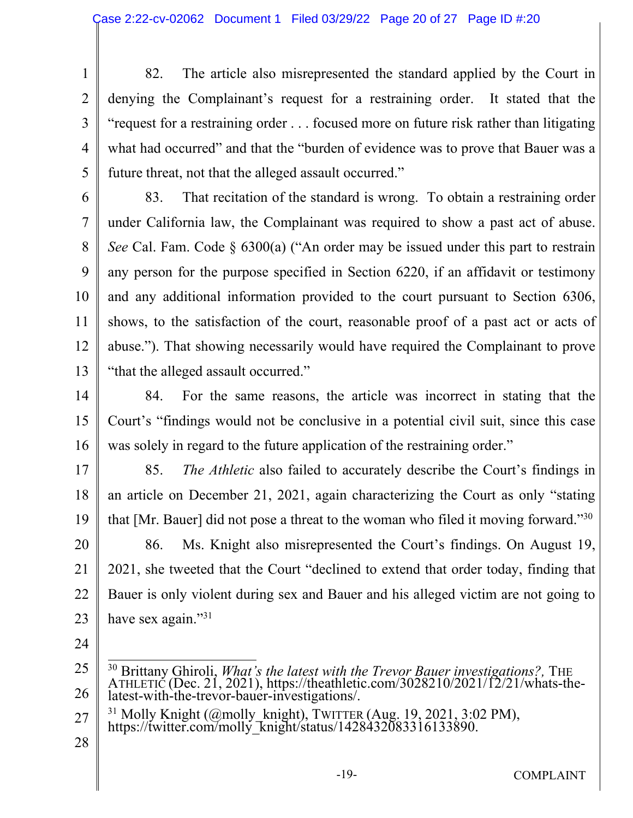1 2 3 4 5 82. The article also misrepresented the standard applied by the Court in denying the Complainant's request for a restraining order. It stated that the "request for a restraining order . . . focused more on future risk rather than litigating what had occurred" and that the "burden of evidence was to prove that Bauer was a future threat, not that the alleged assault occurred."

6 7 8 9 10 11 12 13 83. That recitation of the standard is wrong. To obtain a restraining order under California law, the Complainant was required to show a past act of abuse. *See* Cal. Fam. Code § 6300(a) ("An order may be issued under this part to restrain any person for the purpose specified in Section 6220, if an affidavit or testimony and any additional information provided to the court pursuant to Section 6306, shows, to the satisfaction of the court, reasonable proof of a past act or acts of abuse."). That showing necessarily would have required the Complainant to prove "that the alleged assault occurred."

14 15 16 84. For the same reasons, the article was incorrect in stating that the Court's "findings would not be conclusive in a potential civil suit, since this case was solely in regard to the future application of the restraining order."

17 18 19 20 85. *The Athletic* also failed to accurately describe the Court's findings in an article on December 21, 2021, again characterizing the Court as only "stating that [Mr. Bauer] did not pose a threat to the woman who filed it moving forward."<sup>30</sup> 86. Ms. Knight also misrepresented the Court's findings. On August 19,

21 22 23 2021, she tweeted that the Court "declined to extend that order today, finding that Bauer is only violent during sex and Bauer and his alleged victim are not going to have sex again."<sup>31</sup>

- 27 <sup>31</sup> Molly Knight (@molly\_knight), TWITTER (Aug. 19, 2021, 3:02 PM), https://twitter.com/molly\_knight/status/1428432083316133890.
- 28

<sup>25</sup> 26 <sup>30</sup> Brittany Ghiroli, *What's the latest with the Trevor Bauer investigations?*, THE ATHLETIC (Dec. 21, 2021), https://theathletic.com/3028210/2021/12/21/whats-thelatest-with-the-trevor-bauer-investigations/.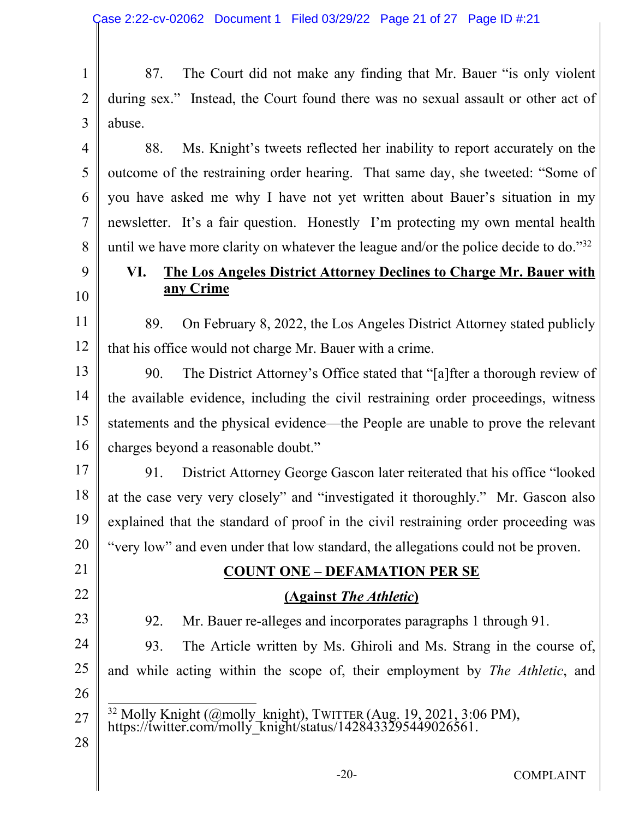1 2 3 87. The Court did not make any finding that Mr. Bauer "is only violent during sex." Instead, the Court found there was no sexual assault or other act of abuse.

4 5 6 7 8 88. Ms. Knight's tweets reflected her inability to report accurately on the outcome of the restraining order hearing. That same day, she tweeted: "Some of you have asked me why I have not yet written about Bauer's situation in my newsletter. It's a fair question. Honestly I'm protecting my own mental health until we have more clarity on whatever the league and/or the police decide to do."<sup>32</sup>

### 9 10

### **VI. The Los Angeles District Attorney Declines to Charge Mr. Bauer with any Crime**

11 12 89. On February 8, 2022, the Los Angeles District Attorney stated publicly that his office would not charge Mr. Bauer with a crime.

13 14 15 16 90. The District Attorney's Office stated that "[a]fter a thorough review of the available evidence, including the civil restraining order proceedings, witness statements and the physical evidence—the People are unable to prove the relevant charges beyond a reasonable doubt."

17 18 19 20 91. District Attorney George Gascon later reiterated that his office "looked at the case very very closely" and "investigated it thoroughly." Mr. Gascon also explained that the standard of proof in the civil restraining order proceeding was "very low" and even under that low standard, the allegations could not be proven.

# 21 22

### **COUNT ONE – DEFAMATION PER SE**

### **(Against** *The Athletic***)**

23

24

25

92. Mr. Bauer re-alleges and incorporates paragraphs 1 through 91.

93. The Article written by Ms. Ghiroli and Ms. Strang in the course of, and while acting within the scope of, their employment by *The Athletic*, and

- 26
- 27  $32$  Molly Knight (@molly\_knight), TWITTER (Aug. 19, 2021, 3:06 PM), https://twitter.com/molly\_knight/status/1428433295449026561.
- 28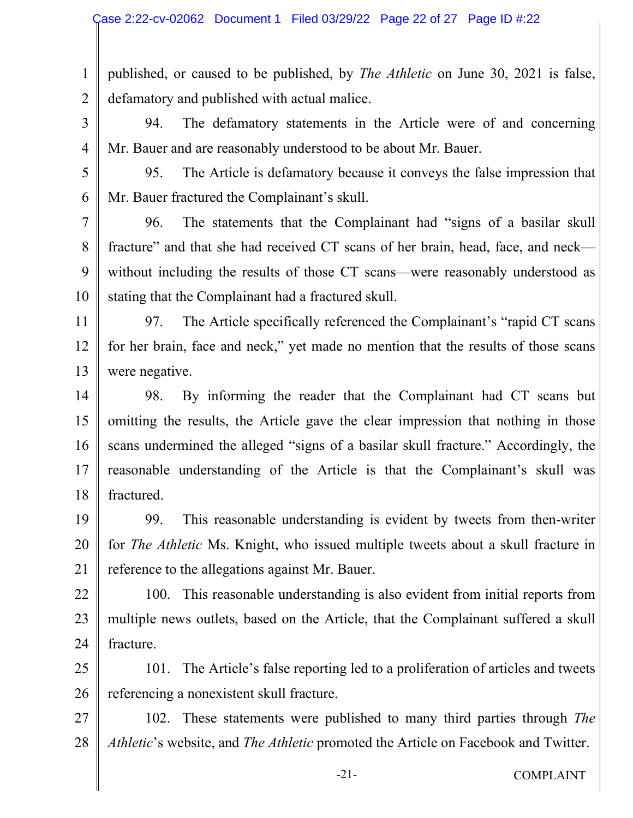1 2 published, or caused to be published, by *The Athletic* on June 30, 2021 is false, defamatory and published with actual malice.

3

94. The defamatory statements in the Article were of and concerning Mr. Bauer and are reasonably understood to be about Mr. Bauer.

5

6

4

95. The Article is defamatory because it conveys the false impression that Mr. Bauer fractured the Complainant's skull.

7 8 9 10 96. The statements that the Complainant had "signs of a basilar skull fracture" and that she had received CT scans of her brain, head, face, and neck without including the results of those CT scans—were reasonably understood as stating that the Complainant had a fractured skull.

11 12 13 97. The Article specifically referenced the Complainant's "rapid CT scans for her brain, face and neck," yet made no mention that the results of those scans were negative.

14 15 16 17 18 98. By informing the reader that the Complainant had CT scans but omitting the results, the Article gave the clear impression that nothing in those scans undermined the alleged "signs of a basilar skull fracture." Accordingly, the reasonable understanding of the Article is that the Complainant's skull was fractured.

19

20 21 99. This reasonable understanding is evident by tweets from then-writer for *The Athletic* Ms. Knight, who issued multiple tweets about a skull fracture in reference to the allegations against Mr. Bauer.

22 23 24 100. This reasonable understanding is also evident from initial reports from multiple news outlets, based on the Article, that the Complainant suffered a skull fracture.

25 26 101. The Article's false reporting led to a proliferation of articles and tweets referencing a nonexistent skull fracture.

27 28 102. These statements were published to many third parties through *The Athletic*'s website, and *The Athletic* promoted the Article on Facebook and Twitter.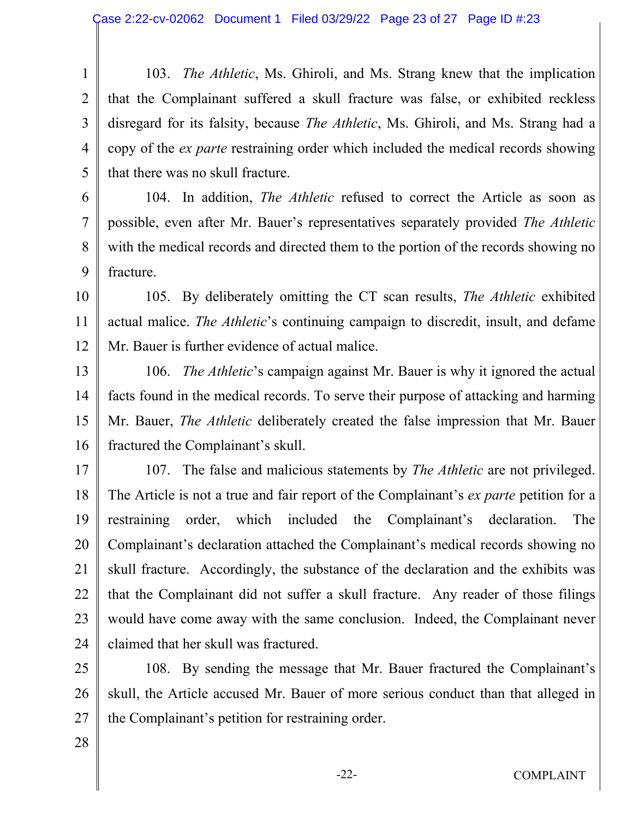1 2 3 4 5 103. *The Athletic*, Ms. Ghiroli, and Ms. Strang knew that the implication that the Complainant suffered a skull fracture was false, or exhibited reckless disregard for its falsity, because *The Athletic*, Ms. Ghiroli, and Ms. Strang had a copy of the *ex parte* restraining order which included the medical records showing that there was no skull fracture.

104. In addition, *The Athletic* refused to correct the Article as soon as possible, even after Mr. Bauer's representatives separately provided *The Athletic* with the medical records and directed them to the portion of the records showing no fracture.

10 11 12 105. By deliberately omitting the CT scan results, *The Athletic* exhibited actual malice. *The Athletic*'s continuing campaign to discredit, insult, and defame Mr. Bauer is further evidence of actual malice.

13 14 15 16 106. *The Athletic*'s campaign against Mr. Bauer is why it ignored the actual facts found in the medical records. To serve their purpose of attacking and harming Mr. Bauer, *The Athletic* deliberately created the false impression that Mr. Bauer fractured the Complainant's skull.

17 18 19 20 21 22 23 24 107. The false and malicious statements by *The Athletic* are not privileged. The Article is not a true and fair report of the Complainant's *ex parte* petition for a restraining order, which included the Complainant's declaration. The Complainant's declaration attached the Complainant's medical records showing no skull fracture. Accordingly, the substance of the declaration and the exhibits was that the Complainant did not suffer a skull fracture. Any reader of those filings would have come away with the same conclusion. Indeed, the Complainant never claimed that her skull was fractured.

25 26 27 108. By sending the message that Mr. Bauer fractured the Complainant's skull, the Article accused Mr. Bauer of more serious conduct than that alleged in the Complainant's petition for restraining order.

28

6

7

8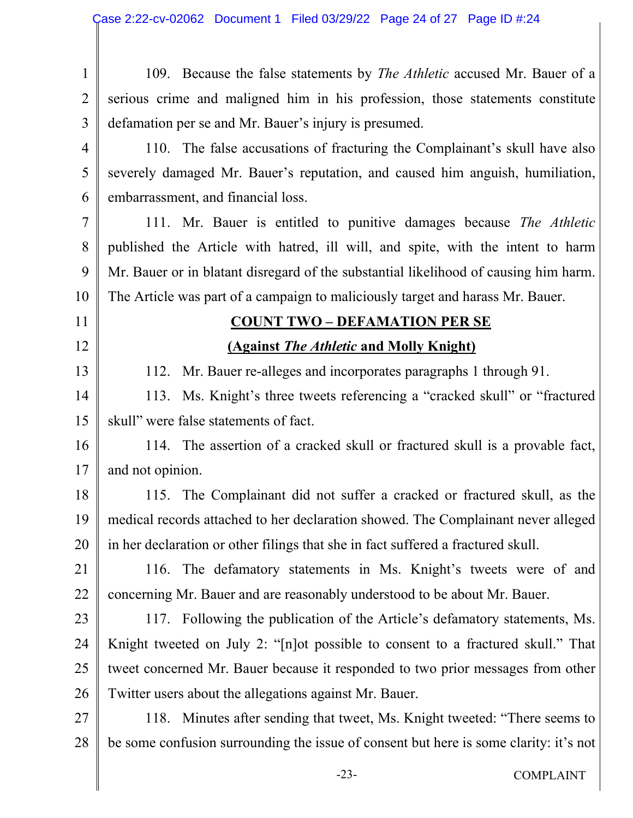| $\mathbf{1}$   | 109. Because the false statements by <i>The Athletic</i> accused Mr. Bauer of a       |  |  |  |  |  |
|----------------|---------------------------------------------------------------------------------------|--|--|--|--|--|
| $\overline{2}$ | serious crime and maligned him in his profession, those statements constitute         |  |  |  |  |  |
| 3              | defamation per se and Mr. Bauer's injury is presumed.                                 |  |  |  |  |  |
| $\overline{4}$ | 110. The false accusations of fracturing the Complainant's skull have also            |  |  |  |  |  |
| 5              | severely damaged Mr. Bauer's reputation, and caused him anguish, humiliation,         |  |  |  |  |  |
| 6              | embarrassment, and financial loss.                                                    |  |  |  |  |  |
| 7              | 111. Mr. Bauer is entitled to punitive damages because The Athletic                   |  |  |  |  |  |
| 8              | published the Article with hatred, ill will, and spite, with the intent to harm       |  |  |  |  |  |
| 9              | Mr. Bauer or in blatant disregard of the substantial likelihood of causing him harm.  |  |  |  |  |  |
| 10             | The Article was part of a campaign to maliciously target and harass Mr. Bauer.        |  |  |  |  |  |
| 11             | <b>COUNT TWO - DEFAMATION PER SE</b>                                                  |  |  |  |  |  |
| 12             | (Against The Athletic and Molly Knight)                                               |  |  |  |  |  |
| 13             | Mr. Bauer re-alleges and incorporates paragraphs 1 through 91.<br>112.                |  |  |  |  |  |
| 14             | 113. Ms. Knight's three tweets referencing a "cracked skull" or "fractured"           |  |  |  |  |  |
| 15             | skull" were false statements of fact.                                                 |  |  |  |  |  |
| 16             | 114. The assertion of a cracked skull or fractured skull is a provable fact,          |  |  |  |  |  |
| 17             | and not opinion.                                                                      |  |  |  |  |  |
| 18             | 115. The Complainant did not suffer a cracked or fractured skull, as the              |  |  |  |  |  |
| 19             | medical records attached to her declaration showed. The Complainant never alleged     |  |  |  |  |  |
| 20             | in her declaration or other filings that she in fact suffered a fractured skull.      |  |  |  |  |  |
| 21             | 116. The defamatory statements in Ms. Knight's tweets were of and                     |  |  |  |  |  |
| 22             | concerning Mr. Bauer and are reasonably understood to be about Mr. Bauer.             |  |  |  |  |  |
| 23             | 117. Following the publication of the Article's defamatory statements, Ms.            |  |  |  |  |  |
| 24             | Knight tweeted on July 2: "[n] ot possible to consent to a fractured skull." That     |  |  |  |  |  |
| 25             | tweet concerned Mr. Bauer because it responded to two prior messages from other       |  |  |  |  |  |
| 26             | Twitter users about the allegations against Mr. Bauer.                                |  |  |  |  |  |
| 27             | 118. Minutes after sending that tweet, Ms. Knight tweeted: "There seems to            |  |  |  |  |  |
| 28             | be some confusion surrounding the issue of consent but here is some clarity: it's not |  |  |  |  |  |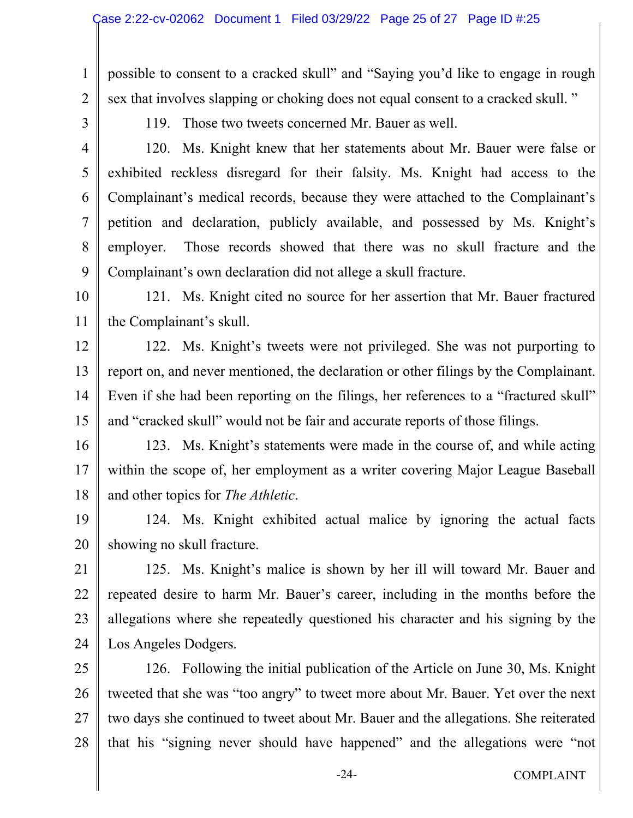possible to consent to a cracked skull" and "Saying you'd like to engage in rough sex that involves slapping or choking does not equal consent to a cracked skull. "

3

4

5

6

7

8

9

1

2

119. Those two tweets concerned Mr. Bauer as well.

120. Ms. Knight knew that her statements about Mr. Bauer were false or exhibited reckless disregard for their falsity. Ms. Knight had access to the Complainant's medical records, because they were attached to the Complainant's petition and declaration, publicly available, and possessed by Ms. Knight's employer. Those records showed that there was no skull fracture and the Complainant's own declaration did not allege a skull fracture.

10 11 121. Ms. Knight cited no source for her assertion that Mr. Bauer fractured the Complainant's skull.

12 13 14 15 122. Ms. Knight's tweets were not privileged. She was not purporting to report on, and never mentioned, the declaration or other filings by the Complainant. Even if she had been reporting on the filings, her references to a "fractured skull" and "cracked skull" would not be fair and accurate reports of those filings.

16 17 18 123. Ms. Knight's statements were made in the course of, and while acting within the scope of, her employment as a writer covering Major League Baseball and other topics for *The Athletic*.

19 20 124. Ms. Knight exhibited actual malice by ignoring the actual facts showing no skull fracture.

21 22 23 24 125. Ms. Knight's malice is shown by her ill will toward Mr. Bauer and repeated desire to harm Mr. Bauer's career, including in the months before the allegations where she repeatedly questioned his character and his signing by the Los Angeles Dodgers.

25 26 27 28 126. Following the initial publication of the Article on June 30, Ms. Knight tweeted that she was "too angry" to tweet more about Mr. Bauer. Yet over the next two days she continued to tweet about Mr. Bauer and the allegations. She reiterated that his "signing never should have happened" and the allegations were "not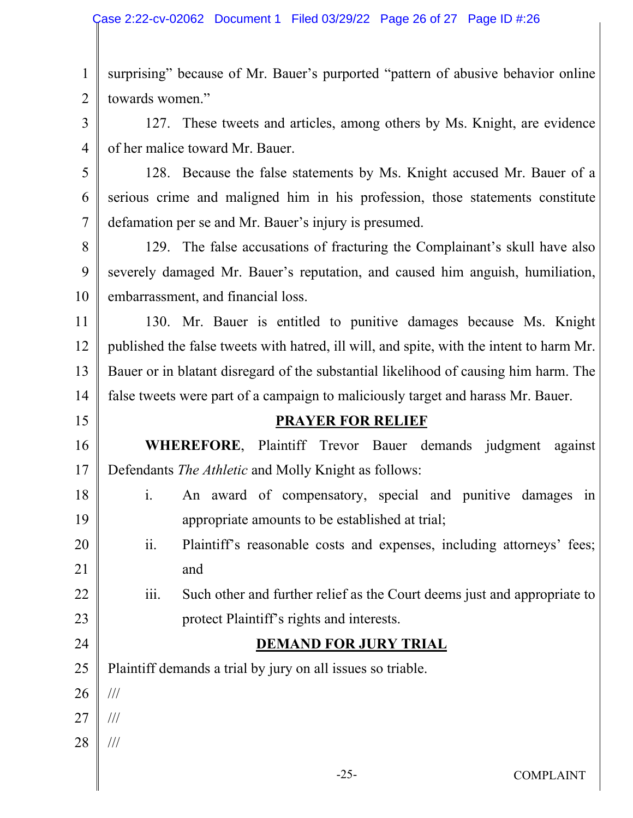1 2 surprising" because of Mr. Bauer's purported "pattern of abusive behavior online towards women."

3 4 127. These tweets and articles, among others by Ms. Knight, are evidence of her malice toward Mr. Bauer.

5 6 7 128. Because the false statements by Ms. Knight accused Mr. Bauer of a serious crime and maligned him in his profession, those statements constitute defamation per se and Mr. Bauer's injury is presumed.

8 9 10 129. The false accusations of fracturing the Complainant's skull have also severely damaged Mr. Bauer's reputation, and caused him anguish, humiliation, embarrassment, and financial loss.

11 12 13 14 130. Mr. Bauer is entitled to punitive damages because Ms. Knight published the false tweets with hatred, ill will, and spite, with the intent to harm Mr. Bauer or in blatant disregard of the substantial likelihood of causing him harm. The false tweets were part of a campaign to maliciously target and harass Mr. Bauer.

### **PRAYER FOR RELIEF**

16 17 **WHEREFORE**, Plaintiff Trevor Bauer demands judgment against Defendants *The Athletic* and Molly Knight as follows:

- 18 19 i. An award of compensatory, special and punitive damages in appropriate amounts to be established at trial;
- 20 21 ii. Plaintiff's reasonable costs and expenses, including attorneys' fees; and
- 22 23 iii. Such other and further relief as the Court deems just and appropriate to protect Plaintiff's rights and interests.

# **DEMAND FOR JURY TRIAL**

25 Plaintiff demands a trial by jury on all issues so triable.

26

///

24

- 27 ///
- 28 ///